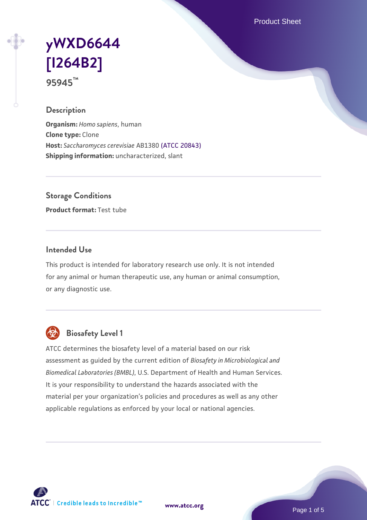Product Sheet

# **[yWXD6644](https://www.atcc.org/products/95945) [\[I264B2\]](https://www.atcc.org/products/95945) 95945™**

#### **Description**

**Organism:** *Homo sapiens*, human **Clone type:** Clone **Host:** *Saccharomyces cerevisiae* AB1380 [\(ATCC 20843\)](https://www.atcc.org/products/20843) **Shipping information:** uncharacterized, slant

**Storage Conditions**

**Product format:** Test tube

### **Intended Use**

This product is intended for laboratory research use only. It is not intended for any animal or human therapeutic use, any human or animal consumption, or any diagnostic use.



## **Biosafety Level 1**

ATCC determines the biosafety level of a material based on our risk assessment as guided by the current edition of *Biosafety in Microbiological and Biomedical Laboratories (BMBL)*, U.S. Department of Health and Human Services. It is your responsibility to understand the hazards associated with the material per your organization's policies and procedures as well as any other applicable regulations as enforced by your local or national agencies.

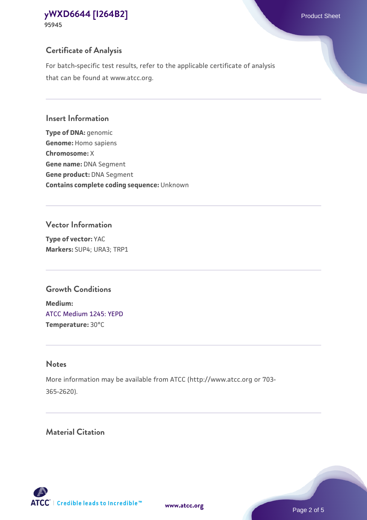## **Certificate of Analysis**

For batch-specific test results, refer to the applicable certificate of analysis that can be found at www.atcc.org.

#### **Insert Information**

**Type of DNA:** genomic **Genome:** Homo sapiens **Chromosome:** X **Gene name:** DNA Segment **Gene product:** DNA Segment **Contains complete coding sequence:** Unknown

#### **Vector Information**

**Type of vector:** YAC **Markers:** SUP4; URA3; TRP1

## **Growth Conditions**

**Medium:**  [ATCC Medium 1245: YEPD](https://www.atcc.org/-/media/product-assets/documents/microbial-media-formulations/1/2/4/5/atcc-medium-1245.pdf?rev=705ca55d1b6f490a808a965d5c072196) **Temperature:** 30°C

## **Notes**

More information may be available from ATCC (http://www.atcc.org or 703- 365-2620).

## **Material Citation**

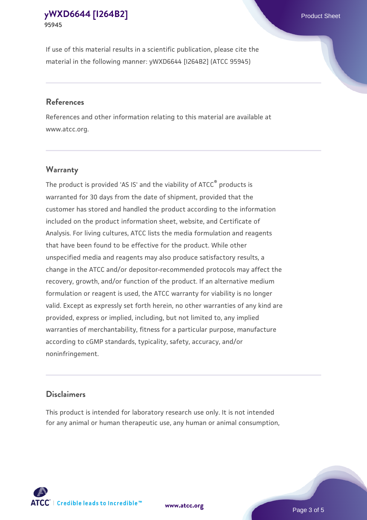If use of this material results in a scientific publication, please cite the material in the following manner: yWXD6644 [I264B2] (ATCC 95945)

#### **References**

References and other information relating to this material are available at www.atcc.org.

### **Warranty**

The product is provided 'AS IS' and the viability of  $ATCC<sup>®</sup>$  products is warranted for 30 days from the date of shipment, provided that the customer has stored and handled the product according to the information included on the product information sheet, website, and Certificate of Analysis. For living cultures, ATCC lists the media formulation and reagents that have been found to be effective for the product. While other unspecified media and reagents may also produce satisfactory results, a change in the ATCC and/or depositor-recommended protocols may affect the recovery, growth, and/or function of the product. If an alternative medium formulation or reagent is used, the ATCC warranty for viability is no longer valid. Except as expressly set forth herein, no other warranties of any kind are provided, express or implied, including, but not limited to, any implied warranties of merchantability, fitness for a particular purpose, manufacture according to cGMP standards, typicality, safety, accuracy, and/or noninfringement.

#### **Disclaimers**

This product is intended for laboratory research use only. It is not intended for any animal or human therapeutic use, any human or animal consumption,





Page 3 of 5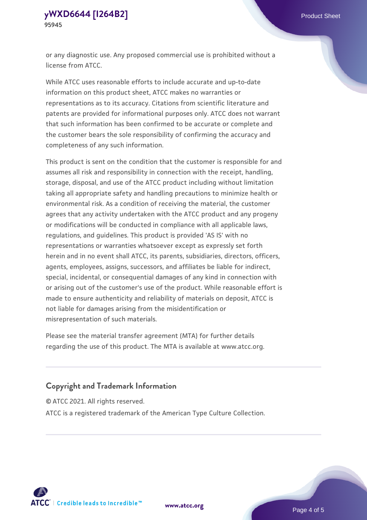or any diagnostic use. Any proposed commercial use is prohibited without a license from ATCC.

While ATCC uses reasonable efforts to include accurate and up-to-date information on this product sheet, ATCC makes no warranties or representations as to its accuracy. Citations from scientific literature and patents are provided for informational purposes only. ATCC does not warrant that such information has been confirmed to be accurate or complete and the customer bears the sole responsibility of confirming the accuracy and completeness of any such information.

This product is sent on the condition that the customer is responsible for and assumes all risk and responsibility in connection with the receipt, handling, storage, disposal, and use of the ATCC product including without limitation taking all appropriate safety and handling precautions to minimize health or environmental risk. As a condition of receiving the material, the customer agrees that any activity undertaken with the ATCC product and any progeny or modifications will be conducted in compliance with all applicable laws, regulations, and guidelines. This product is provided 'AS IS' with no representations or warranties whatsoever except as expressly set forth herein and in no event shall ATCC, its parents, subsidiaries, directors, officers, agents, employees, assigns, successors, and affiliates be liable for indirect, special, incidental, or consequential damages of any kind in connection with or arising out of the customer's use of the product. While reasonable effort is made to ensure authenticity and reliability of materials on deposit, ATCC is not liable for damages arising from the misidentification or misrepresentation of such materials.

Please see the material transfer agreement (MTA) for further details regarding the use of this product. The MTA is available at www.atcc.org.

## **Copyright and Trademark Information**

© ATCC 2021. All rights reserved.

ATCC is a registered trademark of the American Type Culture Collection.



**[www.atcc.org](http://www.atcc.org)**